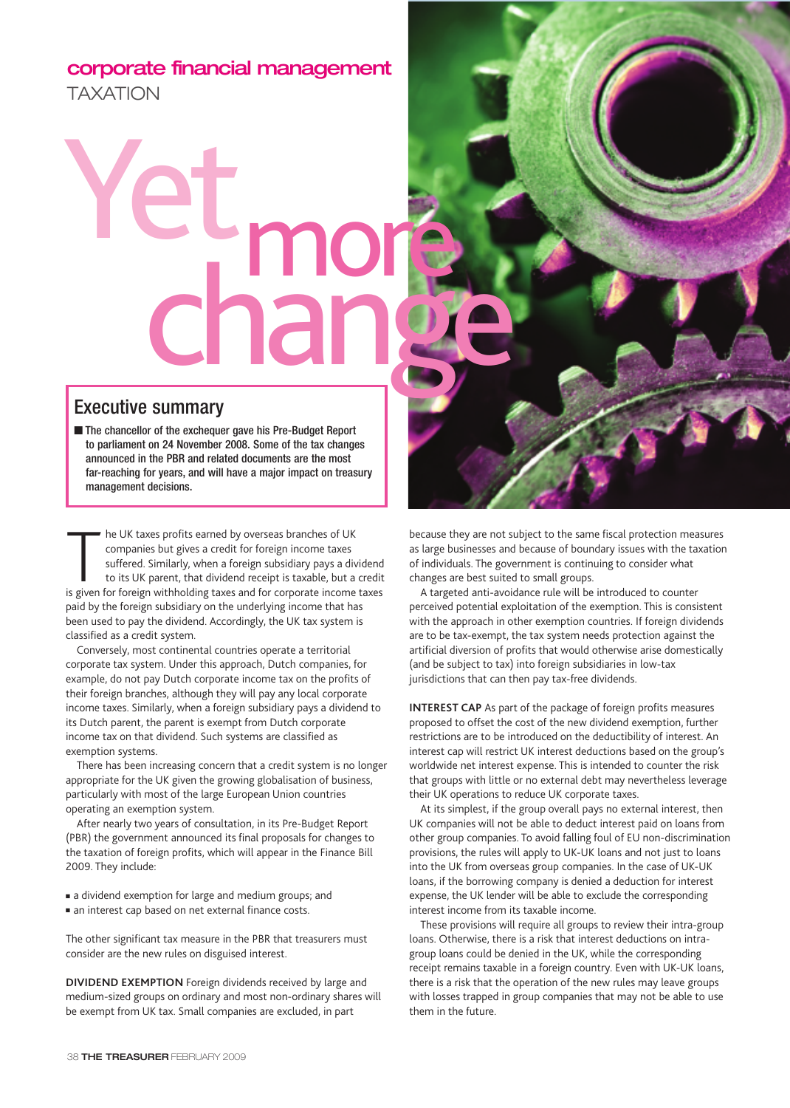## **corporate financial management** TAXATION

## Yet Eumopés

## Executive summary

■ The chancellor of the exchequer gave his Pre-Budget Report to parliament on 24 November 2008. Some of the tax changes announced in the PBR and related documents are the most far-reaching for years, and will have a major impact on treasury management decisions.

The UK taxes profits earned by overseas branches of UK<br>companies but gives a credit for foreign income taxes<br>suffered. Similarly, when a foreign subsidiary pays a dividence<br>to its UK parent, that dividend receipt is taxabl he UK taxes profits earned by overseas branches of UK companies but gives a credit for foreign income taxes suffered. Similarly, when a foreign subsidiary pays a dividend to its UK parent, that dividend receipt is taxable, but a credit paid by the foreign subsidiary on the underlying income that has been used to pay the dividend. Accordingly, the UK tax system is classified as a credit system.

Conversely, most continental countries operate a territorial corporate tax system. Under this approach, Dutch companies, for example, do not pay Dutch corporate income tax on the profits of their foreign branches, although they will pay any local corporate income taxes. Similarly, when a foreign subsidiary pays a dividend to its Dutch parent, the parent is exempt from Dutch corporate income tax on that dividend. Such systems are classified as exemption systems.

There has been increasing concern that a credit system is no longer appropriate for the UK given the growing globalisation of business, particularly with most of the large European Union countries operating an exemption system.

After nearly two years of consultation, in its Pre-Budget Report (PBR) the government announced its final proposals for changes to the taxation of foreign profits, which will appear in the Finance Bill 2009. They include:

■ a dividend exemption for large and medium groups; and

■ an interest cap based on net external finance costs.

The other significant tax measure in the PBR that treasurers must consider are the new rules on disguised interest.

**DIVIDEND EXEMPTION** Foreign dividends received by large and medium-sized groups on ordinary and most non-ordinary shares will be exempt from UK tax. Small companies are excluded, in part



because they are not subject to the same fiscal protection measures as large businesses and because of boundary issues with the taxation of individuals. The government is continuing to consider what changes are best suited to small groups.

A targeted anti-avoidance rule will be introduced to counter perceived potential exploitation of the exemption. This is consistent with the approach in other exemption countries. If foreign dividends are to be tax-exempt, the tax system needs protection against the artificial diversion of profits that would otherwise arise domestically (and be subject to tax) into foreign subsidiaries in low-tax jurisdictions that can then pay tax-free dividends.

**INTEREST CAP** As part of the package of foreign profits measures proposed to offset the cost of the new dividend exemption, further restrictions are to be introduced on the deductibility of interest. An interest cap will restrict UK interest deductions based on the group's worldwide net interest expense. This is intended to counter the risk that groups with little or no external debt may nevertheless leverage their UK operations to reduce UK corporate taxes.

At its simplest, if the group overall pays no external interest, then UK companies will not be able to deduct interest paid on loans from other group companies. To avoid falling foul of EU non-discrimination provisions, the rules will apply to UK-UK loans and not just to loans into the UK from overseas group companies. In the case of UK-UK loans, if the borrowing company is denied a deduction for interest expense, the UK lender will be able to exclude the corresponding interest income from its taxable income.

These provisions will require all groups to review their intra-group loans. Otherwise, there is a risk that interest deductions on intragroup loans could be denied in the UK, while the corresponding receipt remains taxable in a foreign country. Even with UK-UK loans, there is a risk that the operation of the new rules may leave groups with losses trapped in group companies that may not be able to use them in the future.